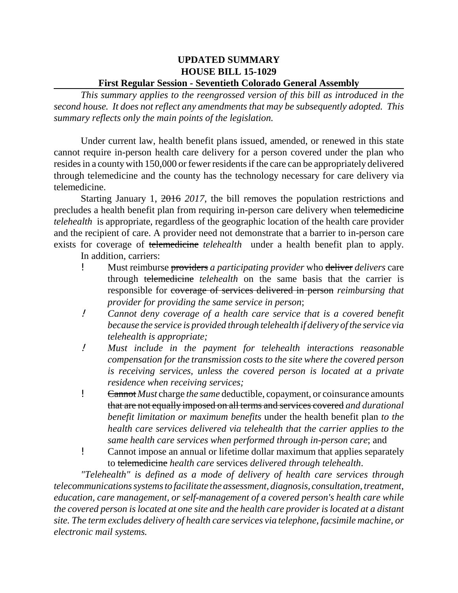## **UPDATED SUMMARY HOUSE BILL 15-1029 First Regular Session - Seventieth Colorado General Assembly**

*This summary applies to the reengrossed version of this bill as introduced in the second house. It does not reflect any amendments that may be subsequently adopted. This summary reflects only the main points of the legislation.* 

Under current law, health benefit plans issued, amended, or renewed in this state cannot require in-person health care delivery for a person covered under the plan who resides in a county with 150,000 or fewer residents if the care can be appropriately delivered through telemedicine and the county has the technology necessary for care delivery via telemedicine.

Starting January 1, 2016 *2017*, the bill removes the population restrictions and precludes a health benefit plan from requiring in-person care delivery when telemedicine *telehealth* is appropriate, regardless of the geographic location of the health care provider and the recipient of care. A provider need not demonstrate that a barrier to in-person care exists for coverage of telemedicine *telehealth* under a health benefit plan to apply.

In addition, carriers:

- ! Must reimburse providers *a participating provider* who deliver *delivers* care through telemedicine *telehealth* on the same basis that the carrier is responsible for coverage of services delivered in person *reimbursing that provider for providing the same service in person*;
- ! *Cannot deny coverage of a health care service that is a covered benefit because the service is provided through telehealth if delivery of the service via telehealth is appropriate;*
- ! *Must include in the payment for telehealth interactions reasonable compensation for the transmission costs to the site where the covered person is receiving services, unless the covered person is located at a private residence when receiving services;*
- ! Cannot *Must* charge *the same* deductible, copayment, or coinsurance amounts that are not equally imposed on all terms and services covered *and durational benefit limitation or maximum benefits* under the health benefit plan *to the health care services delivered via telehealth that the carrier applies to the same health care services when performed through in-person care*; and
- ! Cannot impose an annual or lifetime dollar maximum that applies separately to telemedicine *health care* services *delivered through telehealth*.

*"Telehealth" is defined as a mode of delivery of health care services through telecommunications systems to facilitate the assessment, diagnosis, consultation, treatment, education, care management, or self-management of a covered person's health care while the covered person is located at one site and the health care provider is located at a distant site. The term excludes delivery of health care services via telephone, facsimile machine, or electronic mail systems.*